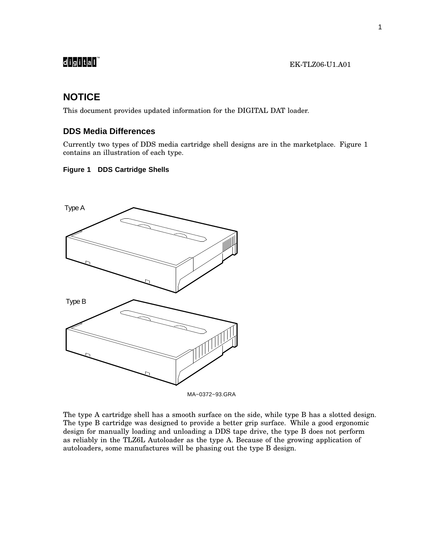# 

## **NOTICE**

This document provides updated information for the DIGITAL DAT loader.

### **DDS Media Differences**

Currently two types of DDS media cartridge shell designs are in the marketplace. Figure 1 contains an illustration of each type.

### **Figure 1 DDS Cartridge Shells**



The type A cartridge shell has a smooth surface on the side, while type B has a slotted design. The type B cartridge was designed to provide a better grip surface. While a good ergonomic design for manually loading and unloading a DDS tape drive, the type B does not perform as reliably in the TLZ6L Autoloader as the type A. Because of the growing application of autoloaders, some manufactures will be phasing out the type B design.